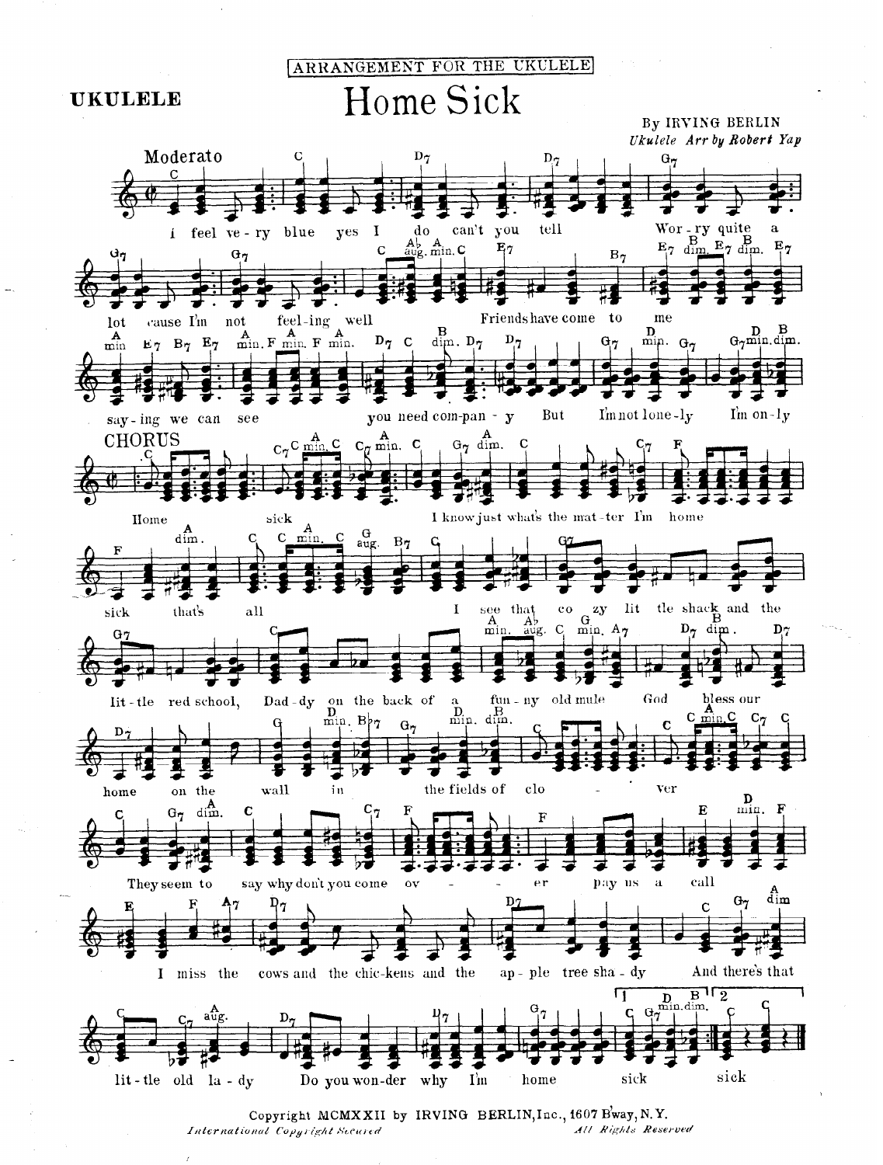ARRANGEMENT FOR THE UKULELE Home Sick By IRVING BERLIN Ukulele Arr by Robert Yap Moderato  $\mathbf{D}_{\widetilde{\pmb{q}}}$  $\mathbf C$  $\mathbf{D}_{\mathcal{T}}$  $G_{7}$  $\mathcal{C}$ Wor-ry quite you tell yes  $\mathbf{I}$ do can't i feel ve - ry blue  $E_7$   $\frac{B}{\dim}$   $E_7$   $\dim$   $E_7$  $A_{\text{aug}}^{\text{L}}$ ,  $A_{\text{min}}^{\text{L}}$  $\ddot{C}$  $E_7$  $B_7$  $G_7$  $\mathbf{t}$ feel-ing well Friends have come me cause  $\mathbf{I}'$ <sub>in</sub> not  $A$   $A$   $A$   $A$   $A$   $A$   $A$   $A$   $m$  in.  $\bf{B}$  $\mathbf{D}$  $D_7$  C  $D_{7}$  $G_{7}$  $G_7$  $\dim$ .  $D_7$  $E_7$   $B_7$   $E_7$ min.



 $\frac{D}{G \gamma m} \lim_{\text{dim.}} \frac{B}{\text{dim.}}$ 







Copyright MCMXXII by IRVING BERLIN, Inc., 1607 Bway, N.Y. All Rights Reserved International Copyright Secured

## **UKULELE**

lot

 $\mathbf{A}_{\min}$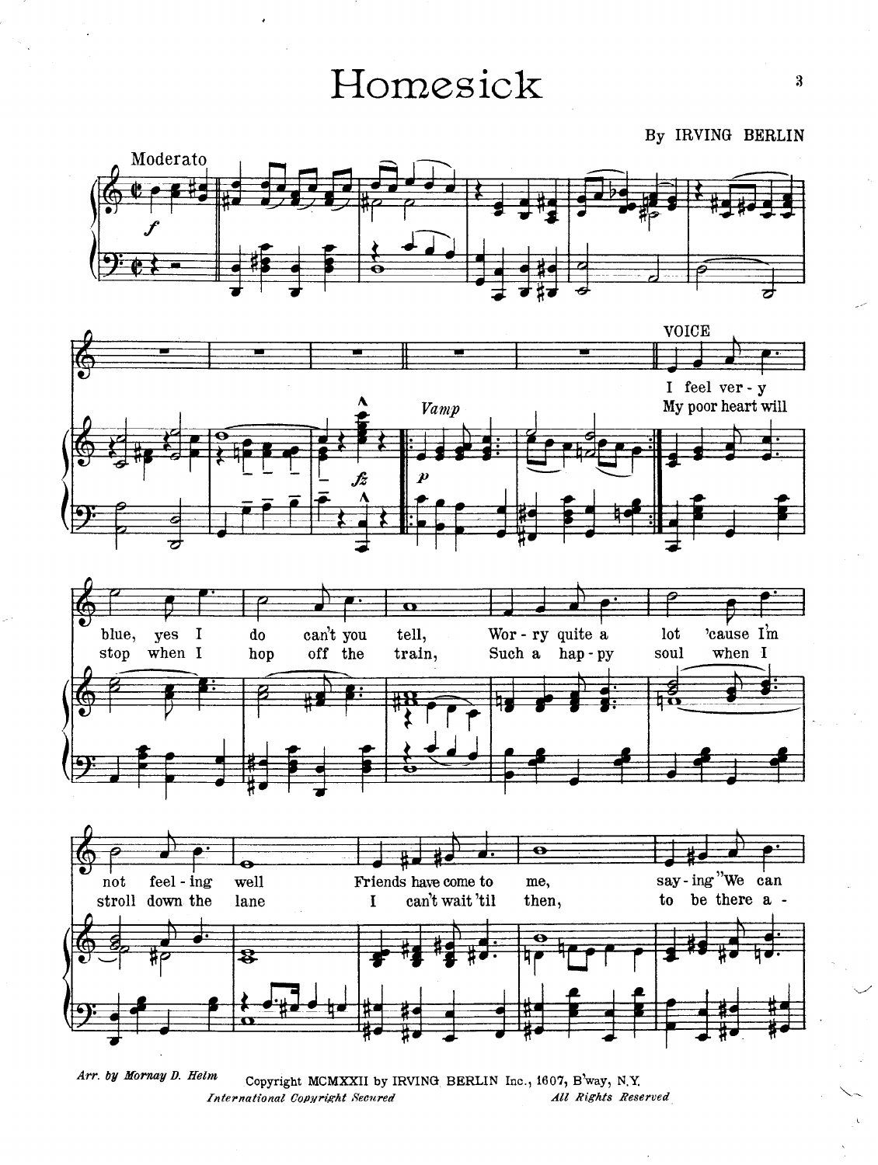Homesick  $3$ 

,

By IRVING BERLIN









 $\Delta r$ r. by Mornay D. Helm Copyright McCopyright McCopyright MCMXII by Inc., 160 $\tilde{\mathcal{L}}$ Copyright MCMXXII by IRVING BERLIN Inc., 1607, B way, N.Y.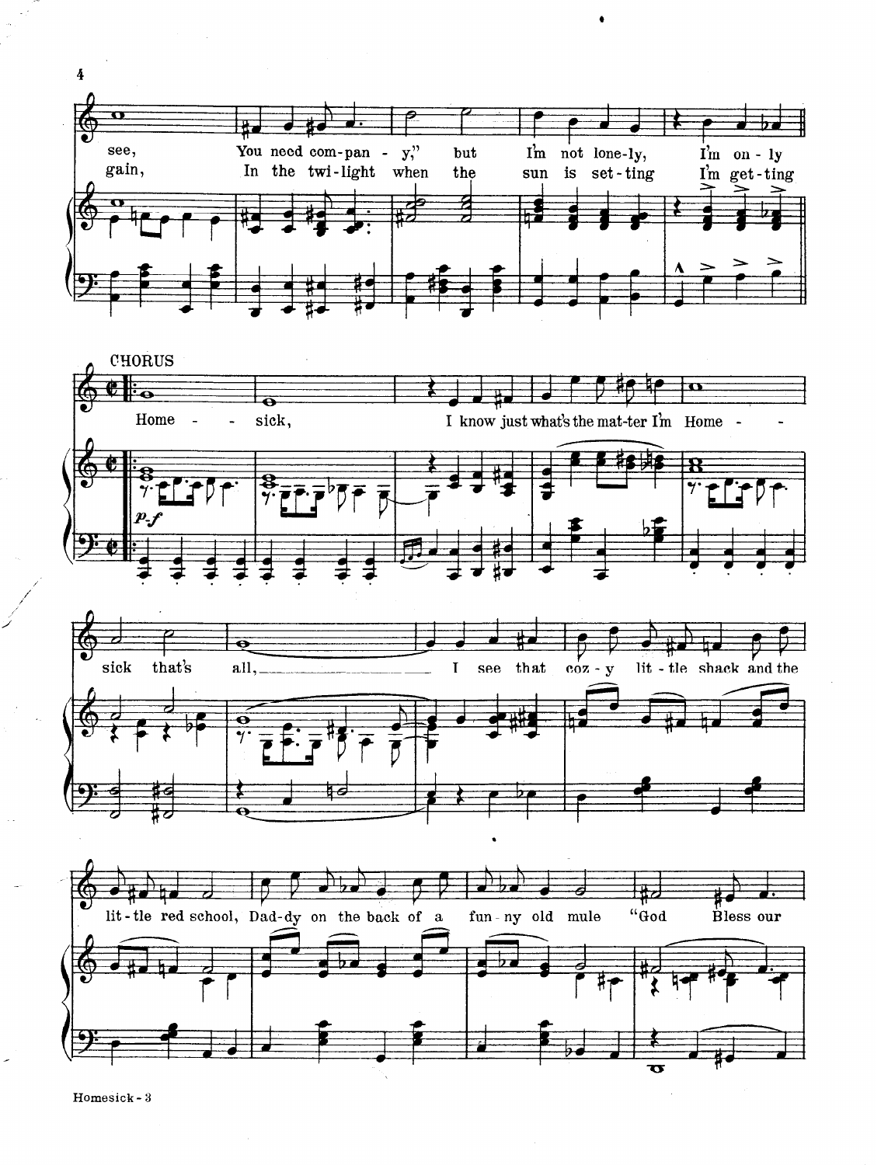

Homesick-3